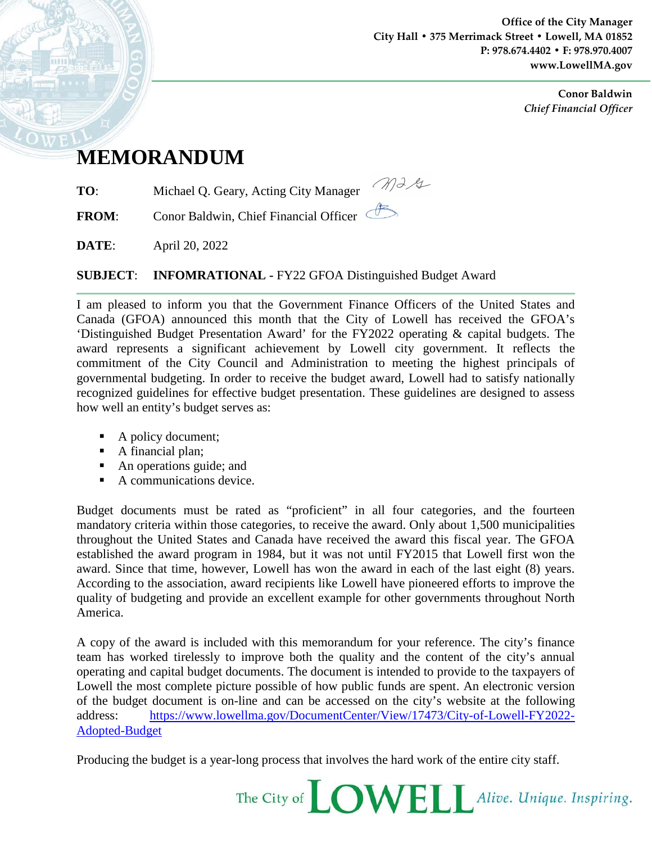**Office of the City Manager City Hall • 375 Merrimack Street • Lowell, MA 01852 P: 978.674.4402 • F: 978.970.4007 www.LowellMA.gov**

> **Conor Baldwin** *Chief Financial Officer*

## **MEMORANDUM**

**TO**: Michael Q. Geary, Acting City Manager

**FROM:** Conor Baldwin, Chief Financial Officer

**DATE**: April 20, 2022

**SUBJECT**: **INFOMRATIONAL -** FY22 GFOA Distinguished Budget Award

I am pleased to inform you that the Government Finance Officers of the United States and Canada (GFOA) announced this month that the City of Lowell has received the GFOA's 'Distinguished Budget Presentation Award' for the FY2022 operating & capital budgets. The award represents a significant achievement by Lowell city government. It reflects the commitment of the City Council and Administration to meeting the highest principals of governmental budgeting. In order to receive the budget award, Lowell had to satisfy nationally recognized guidelines for effective budget presentation. These guidelines are designed to assess how well an entity's budget serves as:

Mag

- A policy document;
- A financial plan;
- An operations guide; and
- A communications device.

Budget documents must be rated as "proficient" in all four categories, and the fourteen mandatory criteria within those categories, to receive the award. Only about 1,500 municipalities throughout the United States and Canada have received the award this fiscal year. The GFOA established the award program in 1984, but it was not until FY2015 that Lowell first won the award. Since that time, however, Lowell has won the award in each of the last eight (8) years. According to the association, award recipients like Lowell have pioneered efforts to improve the quality of budgeting and provide an excellent example for other governments throughout North America.

A copy of the award is included with this memorandum for your reference. The city's finance team has worked tirelessly to improve both the quality and the content of the city's annual operating and capital budget documents. The document is intended to provide to the taxpayers of Lowell the most complete picture possible of how public funds are spent. An electronic version of the budget document is on-line and can be accessed on the city's website at the following address: [https://www.lowellma.gov/DocumentCenter/View/17473/City-of-Lowell-FY2022-](https://www.lowellma.gov/DocumentCenter/View/17473/City-of-Lowell-FY2022-Adopted-Budget) [Adopted-Budget](https://www.lowellma.gov/DocumentCenter/View/17473/City-of-Lowell-FY2022-Adopted-Budget)

Producing the budget is a year-long process that involves the hard work of the entire city staff.

The City of **LOWELL** Alive. Unique. Inspiring.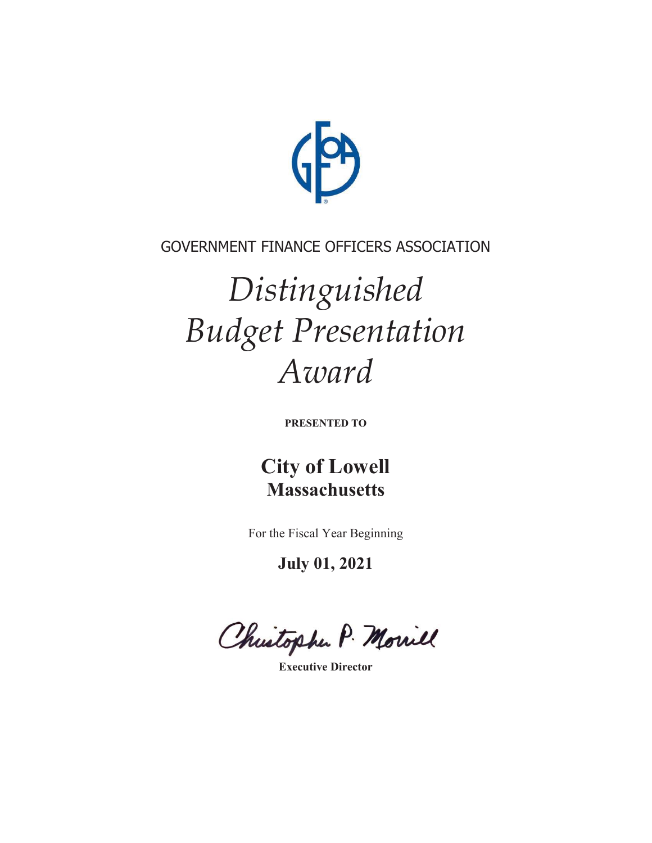

## GOVERNMENT FINANCE OFFICERS ASSOCIATION

## *Distinguished Budget Presentation Award*

**PRESENTED TO** 

**City of Lowell Massachusetts** 

For the Fiscal Year Beginning

**July 01, 2021** 

Christophe P. Morriel

**Executive Director**